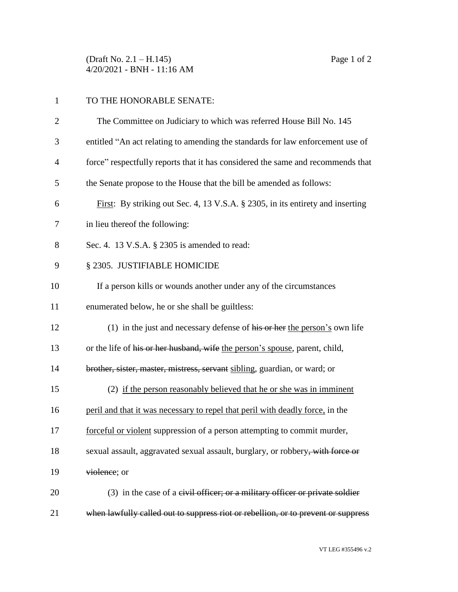(Draft No. 2.1 – H.145) Page 1 of 2 4/20/2021 - BNH - 11:16 AM

| $\mathbf{1}$   | TO THE HONORABLE SENATE:                                                               |
|----------------|----------------------------------------------------------------------------------------|
| $\overline{2}$ | The Committee on Judiciary to which was referred House Bill No. 145                    |
| 3              | entitled "An act relating to amending the standards for law enforcement use of         |
| $\overline{4}$ | force" respectfully reports that it has considered the same and recommends that        |
| 5              | the Senate propose to the House that the bill be amended as follows:                   |
| 6              | First: By striking out Sec. 4, 13 V.S.A. § 2305, in its entirety and inserting         |
| 7              | in lieu thereof the following:                                                         |
| 8              | Sec. 4. 13 V.S.A. § 2305 is amended to read:                                           |
| 9              | § 2305. JUSTIFIABLE HOMICIDE                                                           |
| 10             | If a person kills or wounds another under any of the circumstances                     |
| 11             | enumerated below, he or she shall be guiltless:                                        |
| 12             | (1) in the just and necessary defense of $\overline{his}$ or her the person's own life |
| 13             | or the life of his or her husband, wife the person's spouse, parent, child,            |
| 14             | brother, sister, master, mistress, servant sibling, guardian, or ward; or              |
| 15             | (2) if the person reasonably believed that he or she was in imminent                   |
| 16             | peril and that it was necessary to repel that peril with deadly force, in the          |
| 17             | forceful or violent suppression of a person attempting to commit murder,               |
| 18             | sexual assault, aggravated sexual assault, burglary, or robbery, with force or         |
| 19             | violence; or                                                                           |
| 20             | $(3)$ in the case of a eivil officer; or a military officer or private soldier         |
| 21             | when lawfully called out to suppress riot or rebellion, or to prevent or suppress      |